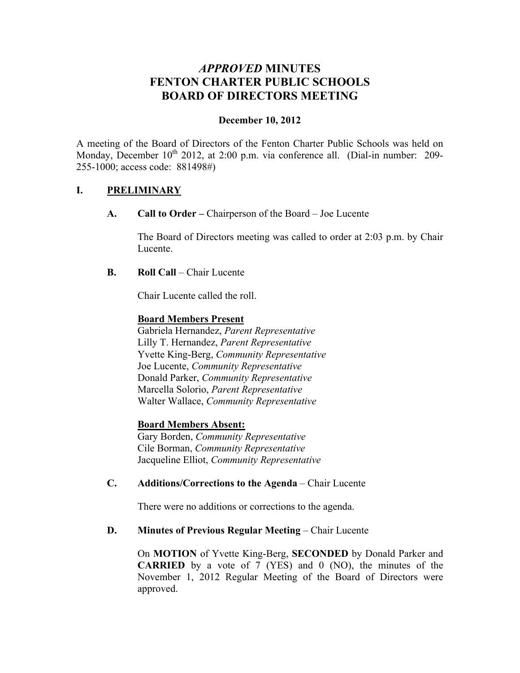# *APPROVED* **MINUTES FENTON CHARTER PUBLIC SCHOOLS BOARD OF DIRECTORS MEETING**

#### **December 10, 2012**

A meeting of the Board of Directors of the Fenton Charter Public Schools was held on Monday, December  $10^{th}$  2012, at 2:00 p.m. via conference all. (Dial-in number: 209-255-1000; access code: 881498#)

#### **I. PRELIMINARY**

**A. Call to Order –** Chairperson of the Board – Joe Lucente

The Board of Directors meeting was called to order at 2:03 p.m. by Chair Lucente.

**B. Roll Call** – Chair Lucente

Chair Lucente called the roll.

#### **Board Members Present**

Gabriela Hernandez, *Parent Representative* Lilly T. Hernandez, *Parent Representative* Yvette King-Berg, *Community Representative* Joe Lucente, *Community Representative* Donald Parker, *Community Representative* Marcella Solorio, *Parent Representative* Walter Wallace, *Community Representative*

#### **Board Members Absent:**

Gary Borden, *Community Representative* Cile Borman, *Community Representative* Jacqueline Elliot, *Community Representative*

#### **C. Additions/Corrections to the Agenda** – Chair Lucente

There were no additions or corrections to the agenda.

#### **D. Minutes of Previous Regular Meeting – Chair Lucente**

On **MOTION** of Yvette King-Berg, **SECONDED** by Donald Parker and **CARRIED** by a vote of 7 (YES) and 0 (NO), the minutes of the November 1, 2012 Regular Meeting of the Board of Directors were approved.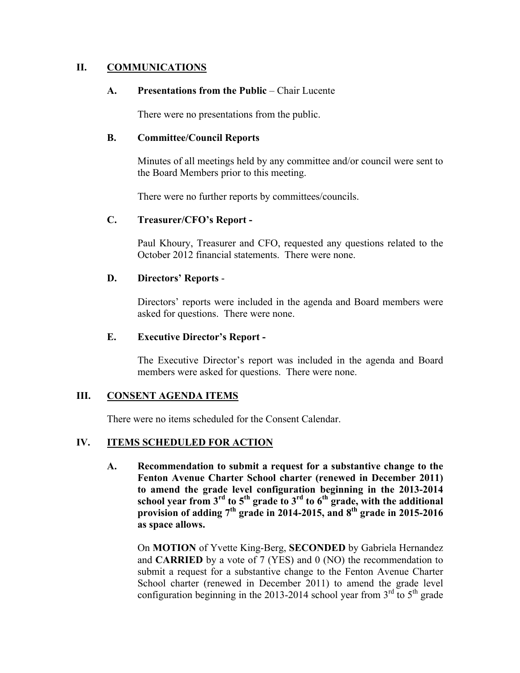#### **II. COMMUNICATIONS**

#### **A. Presentations from the Public** – Chair Lucente

There were no presentations from the public.

#### **B. Committee/Council Reports**

Minutes of all meetings held by any committee and/or council were sent to the Board Members prior to this meeting.

There were no further reports by committees/councils.

#### **C. Treasurer/CFO's Report -**

Paul Khoury, Treasurer and CFO, requested any questions related to the October 2012 financial statements. There were none.

#### **D. Directors' Reports** -

Directors' reports were included in the agenda and Board members were asked for questions. There were none.

#### **E. Executive Director's Report -**

The Executive Director's report was included in the agenda and Board members were asked for questions. There were none.

### **III. CONSENT AGENDA ITEMS**

There were no items scheduled for the Consent Calendar.

#### **IV. ITEMS SCHEDULED FOR ACTION**

**A. Recommendation to submit a request for a substantive change to the Fenton Avenue Charter School charter (renewed in December 2011) to amend the grade level configuration beginning in the 2013-2014**  school year from 3<sup>rd</sup> to 5<sup>th</sup> grade to 3<sup>rd</sup> to 6<sup>th</sup> grade, with the additional provision of adding  $7<sup>th</sup>$  grade in 2014-2015, and  $8<sup>th</sup>$  grade in 2015-2016 **as space allows.**

On **MOTION** of Yvette King-Berg, **SECONDED** by Gabriela Hernandez and **CARRIED** by a vote of 7 (YES) and 0 (NO) the recommendation to submit a request for a substantive change to the Fenton Avenue Charter School charter (renewed in December 2011) to amend the grade level configuration beginning in the 2013-2014 school year from  $3<sup>rd</sup>$  to  $5<sup>th</sup>$  grade